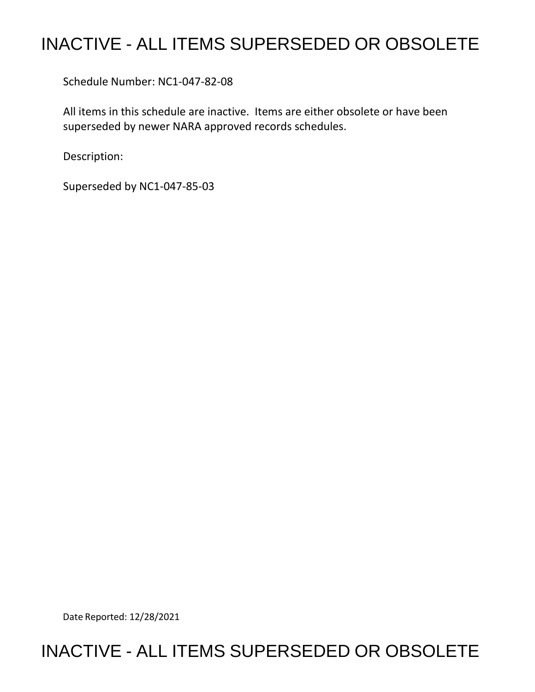## INACTIVE - ALL ITEMS SUPERSEDED OR OBSOLETE

Schedule Number: NC1-047-82-08

 All items in this schedule are inactive. Items are either obsolete or have been superseded by newer NARA approved records schedules.

Description:

Superseded by NC1-047-85-03

Date Reported: 12/28/2021

## INACTIVE - ALL ITEMS SUPERSEDED OR OBSOLETE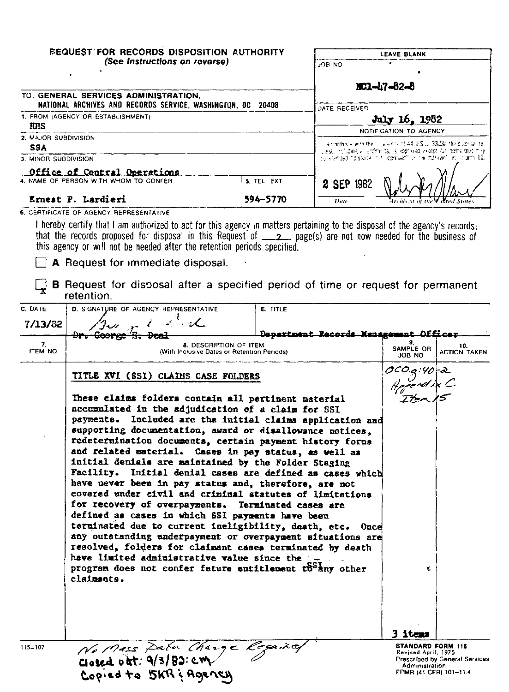| <b><i>BEQUEST FOR RECORDS DISPOSITION AUTHORITY</i></b>                                                                                                                                                                                                                                                                               |            | LEAVE BLANK                                                               |  |  |
|---------------------------------------------------------------------------------------------------------------------------------------------------------------------------------------------------------------------------------------------------------------------------------------------------------------------------------------|------------|---------------------------------------------------------------------------|--|--|
| (See Instructions on reverse)                                                                                                                                                                                                                                                                                                         |            | JOB NO                                                                    |  |  |
|                                                                                                                                                                                                                                                                                                                                       |            | MC1-17-82-8                                                               |  |  |
| TO. GENERAL SERVICES ADMINISTRATION,<br>NATIONAL ARCHIVES AND RECORDS SERVICE, WASHINGTON, DC 20408                                                                                                                                                                                                                                   |            |                                                                           |  |  |
| 1. FROM (AGENCY OR ESTABLISHMENT)<br><b>HHS</b><br>2. MAJOR SUBDIVISION                                                                                                                                                                                                                                                               |            | DATE RECEIVED<br>July 16, 1982<br>NOTIFICATION TO AGENCY                  |  |  |
|                                                                                                                                                                                                                                                                                                                                       |            |                                                                           |  |  |
| 3. MINOR SUBDIVISION                                                                                                                                                                                                                                                                                                                  |            | be shamped hid stidge, in friedproved hild in Withdrawn him its print 10. |  |  |
| Office of Central Operations                                                                                                                                                                                                                                                                                                          |            |                                                                           |  |  |
| 4. NAME OF PERSON WITH WHOM TO CONFER                                                                                                                                                                                                                                                                                                 | 5. TEL EXT | 2 SEP 1982                                                                |  |  |
| Ernest P. Lardieri                                                                                                                                                                                                                                                                                                                    | 594-5770   | Archivest of the V inted States<br>Date                                   |  |  |
| 6. CERTIFICATE OF AGENCY REPRESENTATIVE                                                                                                                                                                                                                                                                                               |            |                                                                           |  |  |
| I hereby certify that I am authorized to act for this agency in matters pertaining to the disposal of the agency's records;<br>that the records proposed for disposal in this Request of $\qquad$ $\qquad$ page(s) are not now needed for the business of<br>this agency or will not be needed after the retention periods specified. |            |                                                                           |  |  |
| A Request for immediate disposal.                                                                                                                                                                                                                                                                                                     |            |                                                                           |  |  |

B Request for disposal after a specified period of time or request for permanent retention.

| C. DATE               | D. SIGNATURE OF AGENCY REPRESENTATIVE                                                                                                                                                                                                                                                                                                                                                                                                                                                                                                                                                                                                                                                                                                                                                                                                                                                                                                                                                                                                                                     | <b>E. TITLE</b>                              |                                                                                                        |                                |
|-----------------------|---------------------------------------------------------------------------------------------------------------------------------------------------------------------------------------------------------------------------------------------------------------------------------------------------------------------------------------------------------------------------------------------------------------------------------------------------------------------------------------------------------------------------------------------------------------------------------------------------------------------------------------------------------------------------------------------------------------------------------------------------------------------------------------------------------------------------------------------------------------------------------------------------------------------------------------------------------------------------------------------------------------------------------------------------------------------------|----------------------------------------------|--------------------------------------------------------------------------------------------------------|--------------------------------|
| 7/13/82               |                                                                                                                                                                                                                                                                                                                                                                                                                                                                                                                                                                                                                                                                                                                                                                                                                                                                                                                                                                                                                                                                           | <u>Department Records Menagement Officer</u> |                                                                                                        |                                |
| 7.<br><b>ITEM NO.</b> | <del>Dr. George</del><br><b>8. DESCRIPTION OF ITEM</b><br>(With Inclusive Dates or Retention Periods)                                                                                                                                                                                                                                                                                                                                                                                                                                                                                                                                                                                                                                                                                                                                                                                                                                                                                                                                                                     |                                              |                                                                                                        | 10.<br><b>ACTION TAKEN</b>     |
|                       | TITLE XVI (SSI) CLAIMS CASE FOLDERS<br>These claims folders contain all pertinent material<br>accumulated in the adjudication of a claim for SSI<br>payments. Included are the initial claims application and<br>supporting documentation, award or disallowance notices.<br>redetermination documents, certain payment history forms<br>and related material. Cases in pay status, as well as<br>initial denials are maintained by the Folder Staging<br>Facility. Initial denial cases are defined as cases which<br>have never been in pay status and, therefore, are not<br>covered under civil and criminal statutes of limitations<br>for recovery of overpayments. Terminated cases are<br>defined as cases in which SSI payments have been<br>terminated due to current ineligibility, death, etc.<br>Once<br>any outstanding underpayment or overpayment situations are<br>resolved, folders for claimant cases terminated by death<br>have limited administrative value since the per-<br>program does not confer future entitlement to any other<br>claimants. |                                              | SAMPLE OR<br>JOB NO<br>OCO.g:40-2<br>Appendix C<br>Then 15<br>$\mathbf{C}$                             |                                |
| $115 - 107$           | No Mass Daton Change Roger Lay<br>Copied to 5KR & Agency                                                                                                                                                                                                                                                                                                                                                                                                                                                                                                                                                                                                                                                                                                                                                                                                                                                                                                                                                                                                                  |                                              | 3 items<br><b>STANDARD FORM 115</b><br>Revised April, 1975<br>Administration<br>FPMR (41 CFR) 101-11.4 | Prescribed by General Services |